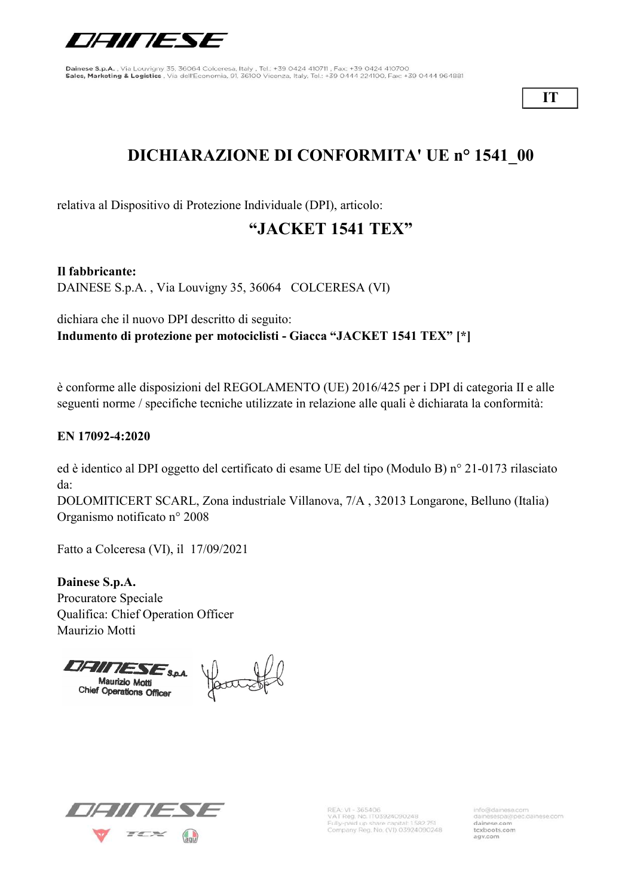

IT

# DICHIARAZIONE DI CONFORMITA' UE n° 1541\_00

relativa al Dispositivo di Protezione Individuale (DPI), articolo:

### "JACKET 1541 TEX"

Il fabbricante:

DAINESE S.p.A. , Via Louvigny 35, 36064 COLCERESA (VI)

dichiara che il nuovo DPI descritto di seguito: Indumento di protezione per motociclisti - Giacca "JACKET 1541 TEX" [\*]

è conforme alle disposizioni del REGOLAMENTO (UE) 2016/425 per i DPI di categoria II e alle seguenti norme / specifiche tecniche utilizzate in relazione alle quali è dichiarata la conformità:

#### EN 17092-4:2020

ed è identico al DPI oggetto del certificato di esame UE del tipo (Modulo B) n° 21-0173 rilasciato da:

DOLOMITICERT SCARL, Zona industriale Villanova, 7/A , 32013 Longarone, Belluno (Italia) Organismo notificato n° 2008

Fatto a Colceresa (VI), il 17/09/2021

Dainese S.p.A. Procuratore Speciale Qualifica: Chief Operation Officer Maurizio Motti

Maurizio Motti<br>Chief Operations Officer<br>Chief Operations Officer



REA: VI - 365406<br>VAT Reg. No. IT03924090248 Fully-paid up share capital: 1582 751<br>Company Reg. No. (VI) 03924090248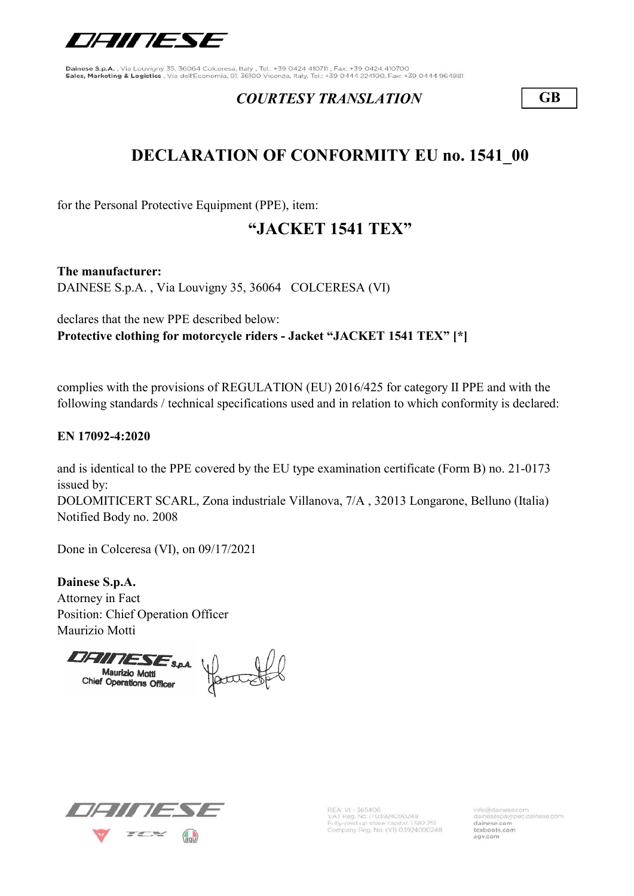

#### COURTESY TRANSLATION GB

## DECLARATION OF CONFORMITY EU no. 1541\_00

for the Personal Protective Equipment (PPE), item:

## "JACKET 1541 TEX"

The manufacturer: DAINESE S.p.A. , Via Louvigny 35, 36064 COLCERESA (VI)

declares that the new PPE described below: Protective clothing for motorcycle riders - Jacket "JACKET 1541 TEX" [\*]

complies with the provisions of REGULATION (EU) 2016/425 for category II PPE and with the following standards / technical specifications used and in relation to which conformity is declared:

#### EN 17092-4:2020

DOLOMITICERT SCARL, Zona industriale Villanova, 7/A , 32013 Longarone, Belluno (Italia) Notified Body no. 2008 and is identical to the PPE covered by the EU type examination certificate (Form B) no. 21-0173 issued by:

Done in Colceresa (VI), on 09/17/2021

Dainese S.p.A. Attorney in Fact Position: Chief Operation Officer Maurizio Motti

**DHITIESE**SPA Maurizio Motti<br>Chief Operations Officer<br>Chief Operations Officer



REA: VI - 365406<br>VAT Reg. No. IT03924090248 Fully-paid up share capital: 1582.751<br>Company Reg. No. (VI) 03924090248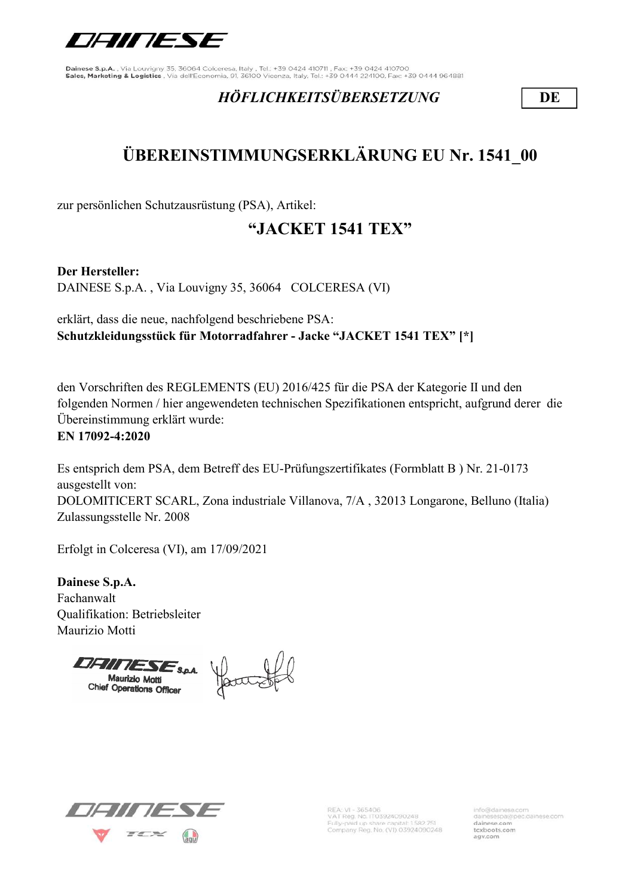

### HÖFLICHKEITSÜBERSETZUNG DE

# ÜBEREINSTIMMUNGSERKLÄRUNG EU Nr. 1541\_00

zur persönlichen Schutzausrüstung (PSA), Artikel:

### "JACKET 1541 TEX"

Der Hersteller:

DAINESE S.p.A. , Via Louvigny 35, 36064 COLCERESA (VI)

erklärt, dass die neue, nachfolgend beschriebene PSA: Schutzkleidungsstück für Motorradfahrer - Jacke "JACKET 1541 TEX" [\*]

den Vorschriften des REGLEMENTS (EU) 2016/425 für die PSA der Kategorie II und den folgenden Normen / hier angewendeten technischen Spezifikationen entspricht, aufgrund derer die Übereinstimmung erklärt wurde:

EN 17092-4:2020

Es entsprich dem PSA, dem Betreff des EU-Prüfungszertifikates (Formblatt B ) Nr. 21-0173 ausgestellt von: DOLOMITICERT SCARL, Zona industriale Villanova, 7/A , 32013 Longarone, Belluno (Italia) Zulassungsstelle Nr. 2008

Erfolgt in Colceresa (VI), am 17/09/2021

Dainese S.p.A. Fachanwalt Qualifikation: Betriebsleiter Maurizio Motti

Chief Operations Officer<br>Chief Operations Officer



REA: VI - 365406<br>VAT Reg. No. IT03924090248 Fully-paid up share capital: 1.582.751<br>Company Reg. No. (VI) 03924090248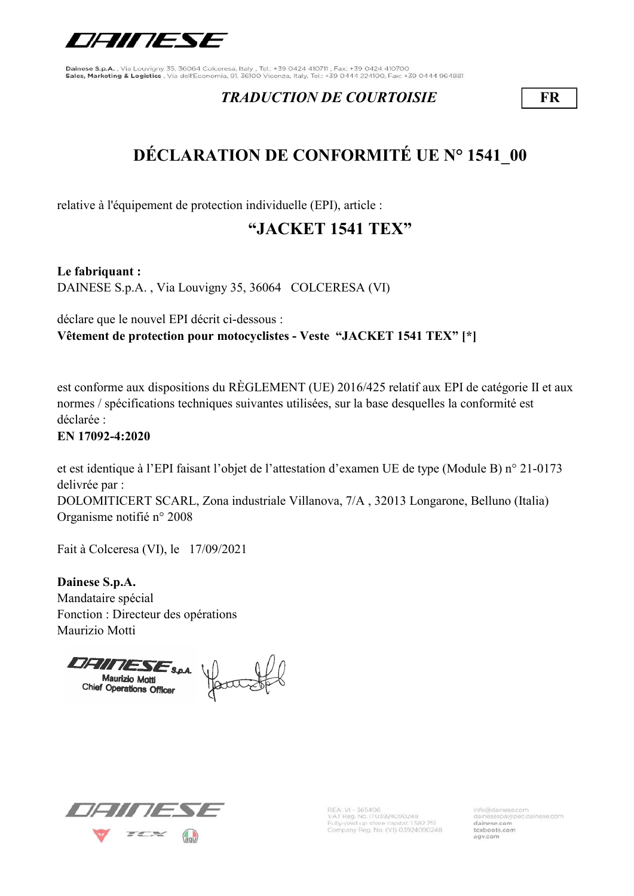

#### TRADUCTION DE COURTOISIE FR

# DÉCLARATION DE CONFORMITÉ UE N° 1541\_00

relative à l'équipement de protection individuelle (EPI), article :

## "JACKET 1541 TEX"

Le fabriquant : DAINESE S.p.A. , Via Louvigny 35, 36064 COLCERESA (VI)

déclare que le nouvel EPI décrit ci-dessous : Vêtement de protection pour motocyclistes - Veste "JACKET 1541 TEX" [\*]

est conforme aux dispositions du RÈGLEMENT (UE) 2016/425 relatif aux EPI de catégorie II et aux normes / spécifications techniques suivantes utilisées, sur la base desquelles la conformité est déclarée :

EN 17092-4:2020

et est identique à l'EPI faisant l'objet de l'attestation d'examen UE de type (Module B) n° 21-0173 delivrée par :

DOLOMITICERT SCARL, Zona industriale Villanova, 7/A , 32013 Longarone, Belluno (Italia) Organisme notifié n° 2008

Fait à Colceresa (VI), le 17/09/2021

Dainese S.p.A. Mandataire spécial Fonction : Directeur des opérations Maurizio Motti

Chief Operations Officer



REA: VI - 365406<br>VAT Reg. No. IT03924090248 Fully-paid up share capital: 1582.751<br>Company Reg. No. (VI) 03924090248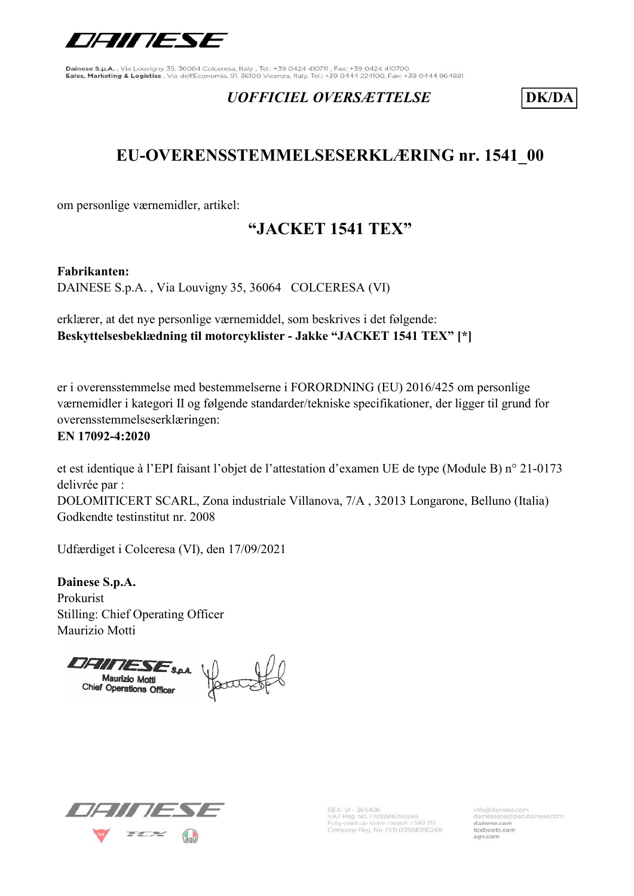

#### UOFFICIEL OVERSÆTTELSE DK/DA

### EU-OVERENSSTEMMELSESERKLÆRING nr. 1541\_00

om personlige værnemidler, artikel:

### "JACKET 1541 TEX"

Fabrikanten:

DAINESE S.p.A. , Via Louvigny 35, 36064 COLCERESA (VI)

erklærer, at det nye personlige værnemiddel, som beskrives i det følgende: Beskyttelsesbeklædning til motorcyklister - Jakke "JACKET 1541 TEX" [\*]

er i overensstemmelse med bestemmelserne i FORORDNING (EU) 2016/425 om personlige værnemidler i kategori II og følgende standarder/tekniske specifikationer, der ligger til grund for overensstemmelseserklæringen:

#### EN 17092-4:2020

et est identique à l'EPI faisant l'objet de l'attestation d'examen UE de type (Module B) n° 21-0173 delivrée par :

DOLOMITICERT SCARL, Zona industriale Villanova, 7/A , 32013 Longarone, Belluno (Italia) Godkendte testinstitut nr. 2008

Udfærdiget i Colceresa (VI), den 17/09/2021

Dainese S.p.A. Prokurist Stilling: Chief Operating Officer Maurizio Motti

Chief Operations Officer



REA: VI - 365406<br>VAT Reg. No. IT03924090248 Fully-paid up share capital: 1582.751<br>Company Reg. No. (VI) 03924090248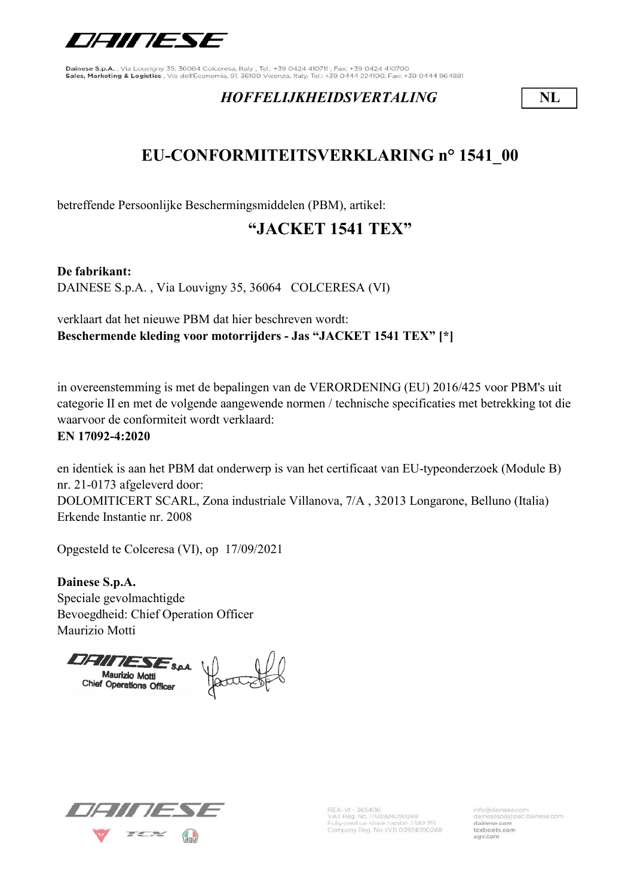

#### HOFFELIJKHEIDSVERTALING NL

## EU-CONFORMITEITSVERKLARING n° 1541\_00

betreffende Persoonlijke Beschermingsmiddelen (PBM), artikel:

## "JACKET 1541 TEX"

De fabrikant:

DAINESE S.p.A. , Via Louvigny 35, 36064 COLCERESA (VI)

verklaart dat het nieuwe PBM dat hier beschreven wordt: Beschermende kleding voor motorrijders - Jas "JACKET 1541 TEX" [\*]

in overeenstemming is met de bepalingen van de VERORDENING (EU) 2016/425 voor PBM's uit categorie II en met de volgende aangewende normen / technische specificaties met betrekking tot die waarvoor de conformiteit wordt verklaard:

#### EN 17092-4:2020

en identiek is aan het PBM dat onderwerp is van het certificaat van EU-typeonderzoek (Module B) nr. 21-0173 afgeleverd door:

DOLOMITICERT SCARL, Zona industriale Villanova, 7/A , 32013 Longarone, Belluno (Italia) Erkende Instantie nr. 2008

Opgesteld te Colceresa (VI), op 17/09/2021

Dainese S.p.A. Speciale gevolmachtigde Bevoegdheid: Chief Operation Officer Maurizio Motti

Chief Operations Officer



REA: VI - 365406<br>VAT Reg. No. IT03924090248 Fully-paid up share capital: 1582.751<br>Company Reg. No. (VI) 03924090248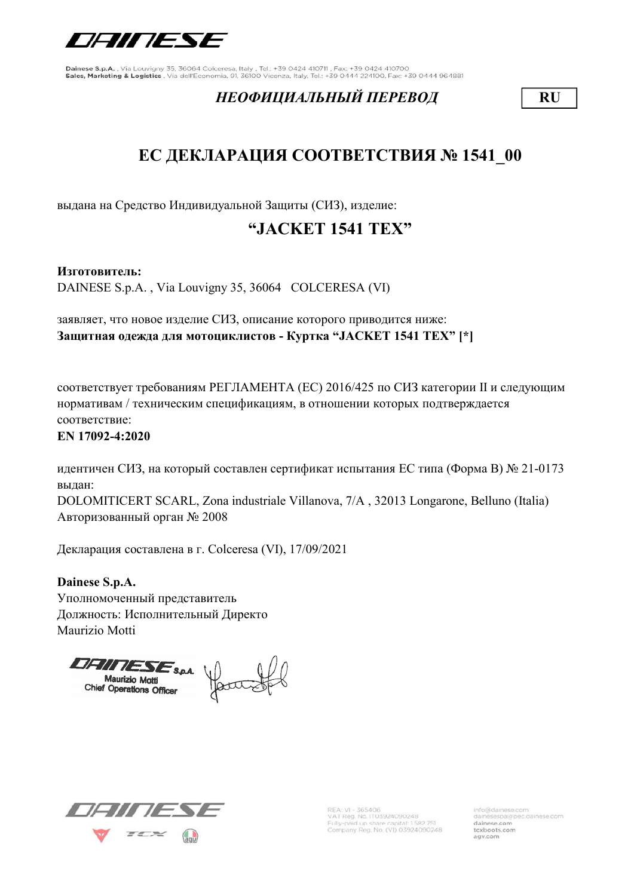

#### НЕОФИЦИАЛЬНЫЙ ПЕРЕВОД **RU**

## ЕС ДЕКЛАРАЦИЯ СООТВЕТСТВИЯ № 1541 00

выдана на Средство Индивидуальной Защиты (СИЗ), изделие:

## "JACKET 1541 TEX"

Изготовитель:

DAINESE S.p.A. , Via Louvigny 35, 36064 COLCERESA (VI)

заявляет, что новое изделие СИЗ, описание которого приводится ниже: Защитная одежда для мотоциклистов - Куртка "JACKET 1541 TEX" [\*]

соответствует требованиям РЕГЛАМЕНТА (ЕС) 2016/425 по СИЗ категории II и следующим нормативам / техническим спецификациям, в отношении которых подтверждается соответствие:

EN 17092-4:2020

идентичен СИЗ, на который составлен сертификат испытания ЕС типа (Форма В) № 21-0173 выдан:

DOLOMITICERT SCARL, Zona industriale Villanova, 7/A , 32013 Longarone, Belluno (Italia) Авторизованный орган № 2008

Декларация составлена в г. Colceresa (VI), 17/09/2021

Dainese S.p.A. Уполномоченный представитель Должность: Исполнительный Директо Maurizio Motti

Chief Operations Officer



REA: VI - 365406<br>VAT Reg. No. IT03924090248 Fully-paid up share capital: 1582.751<br>Company Reg. No. (VI) 03924090248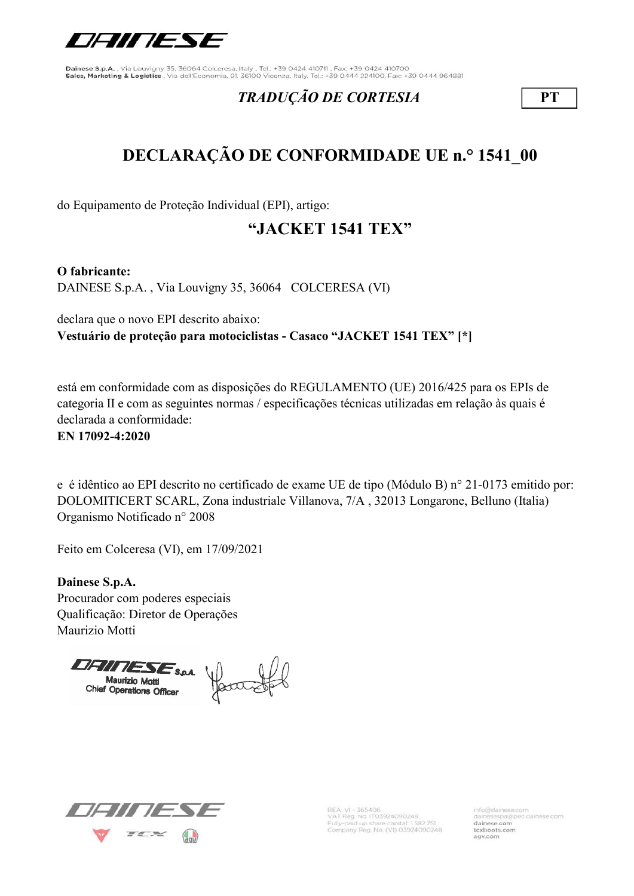

#### TRADUÇÃO DE CORTESIA PT

# DECLARAÇÃO DE CONFORMIDADE UE n.° 1541\_00

do Equipamento de Proteção Individual (EPI), artigo:

## "JACKET 1541 TEX"

O fabricante:

DAINESE S.p.A. , Via Louvigny 35, 36064 COLCERESA (VI)

declara que o novo EPI descrito abaixo: Vestuário de proteção para motociclistas - Casaco "JACKET 1541 TEX" [\*]

está em conformidade com as disposições do REGULAMENTO (UE) 2016/425 para os EPIs de categoria II e com as seguintes normas / especificações técnicas utilizadas em relação às quais é declarada a conformidade:

EN 17092-4:2020

e é idêntico ao EPI descrito no certificado de exame UE de tipo (Módulo B) n° 21-0173 emitido por: DOLOMITICERT SCARL, Zona industriale Villanova, 7/A , 32013 Longarone, Belluno (Italia) Organismo Notificado n° 2008

Feito em Colceresa (VI), em 17/09/2021

Dainese S.p.A. Procurador com poderes especiais Qualificação: Diretor de Operações Maurizio Motti

Chief Operations Officer



REA: VI - 365406<br>VAT Reg. No. IT03924090248 Fully-paid up share capital: 1582.751<br>Company Reg. No. (VI) 03924090248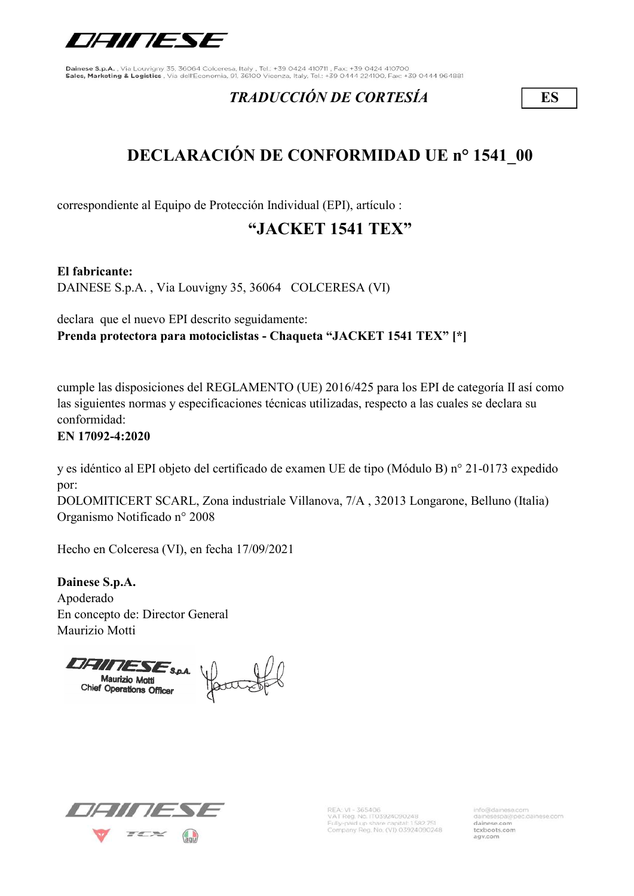

### TRADUCCIÓN DE CORTESÍA ES

## DECLARACIÓN DE CONFORMIDAD UE n° 1541\_00

correspondiente al Equipo de Protección Individual (EPI), artículo :

## "JACKET 1541 TEX"

El fabricante:

DAINESE S.p.A. , Via Louvigny 35, 36064 COLCERESA (VI)

declara que el nuevo EPI descrito seguidamente: Prenda protectora para motociclistas - Chaqueta "JACKET 1541 TEX" [\*]

cumple las disposiciones del REGLAMENTO (UE) 2016/425 para los EPI de categoría II así como las siguientes normas y especificaciones técnicas utilizadas, respecto a las cuales se declara su conformidad:

#### EN 17092-4:2020

y es idéntico al EPI objeto del certificado de examen UE de tipo (Módulo B) n° 21-0173 expedido por:

DOLOMITICERT SCARL, Zona industriale Villanova, 7/A , 32013 Longarone, Belluno (Italia) Organismo Notificado n° 2008

Hecho en Colceresa (VI), en fecha 17/09/2021

Dainese S.p.A. Apoderado En concepto de: Director General Maurizio Motti

Maurizio Motti<br>Chief Operations Officer<br>Chief Operations Officer



REA: VI - 365406<br>VAT Reg. No. IT03924090248 Fully-paid up share capital: 1582 751<br>Company Reg. No. (VI) 03924090248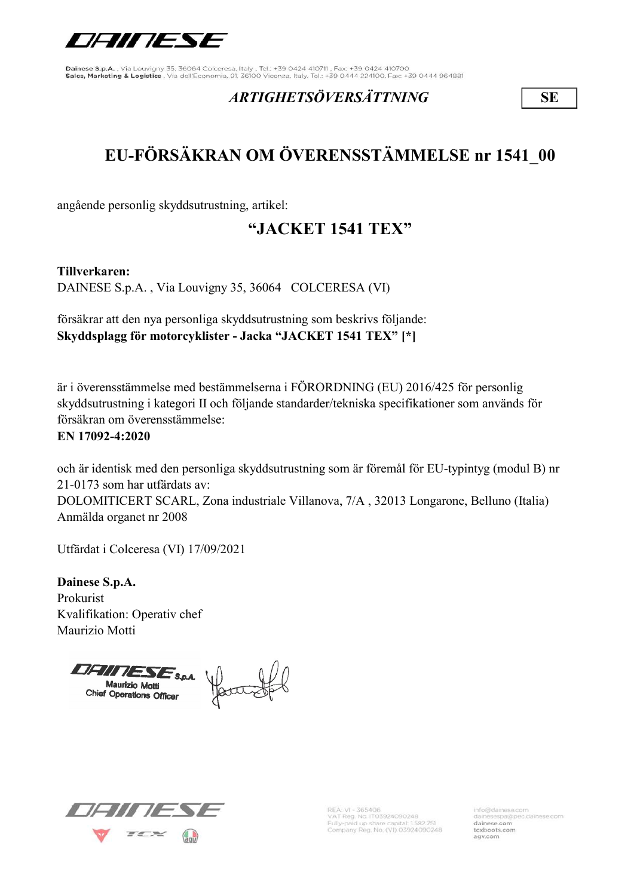

#### ARTIGHETSÖVERSÄTTNING SE

# EU-FÖRSÄKRAN OM ÖVERENSSTÄMMELSE nr 1541\_00

angående personlig skyddsutrustning, artikel:

## "JACKET 1541 TEX"

Tillverkaren:

DAINESE S.p.A. , Via Louvigny 35, 36064 COLCERESA (VI)

försäkrar att den nya personliga skyddsutrustning som beskrivs följande: Skyddsplagg för motorcyklister - Jacka "JACKET 1541 TEX" [\*]

är i överensstämmelse med bestämmelserna i FÖRORDNING (EU) 2016/425 för personlig skyddsutrustning i kategori II och följande standarder/tekniska specifikationer som används för försäkran om överensstämmelse:

#### EN 17092-4:2020

och är identisk med den personliga skyddsutrustning som är föremål för EU-typintyg (modul B) nr 21-0173 som har utfärdats av:

DOLOMITICERT SCARL, Zona industriale Villanova, 7/A , 32013 Longarone, Belluno (Italia) Anmälda organet nr 2008

Utfärdat i Colceresa (VI) 17/09/2021

Dainese S.p.A. Prokurist Kvalifikation: Operativ chef Maurizio Motti

Chief Operations Officer



REA: VI - 365406<br>VAT Reg. No. IT03924090248 Fully-paid up share capital: 1.582.751<br>Company Reg. No. (VI) 03924090248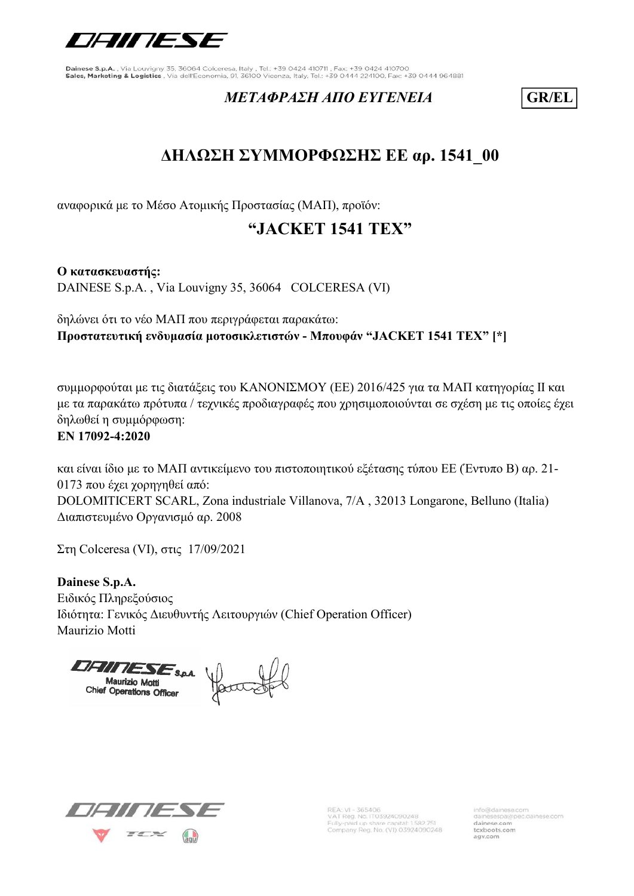

#### METAΦΡΑΣΗ ΑΠΟ ΕΥΓΕΝΕΙΑ GR/EL

## ΔΗΛΩΣΗ ΣΥΜΜΟΡΦΩΣΗΣ ΕΕ αρ. 1541\_00

αναφορικά με το Μέσο Ατομικής Προστασίας (ΜΑΠ), προϊόν:

## "JACKET 1541 TEX"

Ο κατασκευαστής: DAINESE S.p.A. , Via Louvigny 35, 36064 COLCERESA (VI)

δηλώνει ότι το νέο ΜΑΠ που περιγράφεται παρακάτω: Προστατευτική ενδυμασία μοτοσικλετιστών - Μπουφάν "JACKET 1541 TEX" [\*]

συμμορφούται με τις διατάξεις του ΚΑΝΟΝΙΣΜΟΥ (ΕΕ) 2016/425 για τα ΜΑΠ κατηγορίας II και με τα παρακάτω πρότυπα / τεχνικές προδιαγραφές που χρησιμοποιούνται σε σχέση με τις οποίες έχει δηλωθεί η συμμόρφωση:

#### EN 17092-4:2020

και είναι ίδιο με το ΜΑΠ αντικείμενο του πιστοποιητικού εξέτασης τύπου ΕΕ (Έντυπο B) αρ. 21- 0173 που έχει χορηγηθεί από: DOLOMITICERT SCARL, Zona industriale Villanova, 7/A , 32013 Longarone, Belluno (Italia) Διαπιστευμένο Οργανισμό αρ. 2008

Στη Colceresa (VI), στις 17/09/2021

Dainese S.p.A. Ειδικός Πληρεξούσιος Ιδιότητα: Γενικός Διευθυντής Λειτουργιών (Chief Operation Officer) Maurizio Motti

Chief Operations Officer



REA: VI - 365406<br>VAT Reg. No. IT03924090248 Fully-paid up share capital: 1582.751<br>Company Reg. No. (VI) 03924090248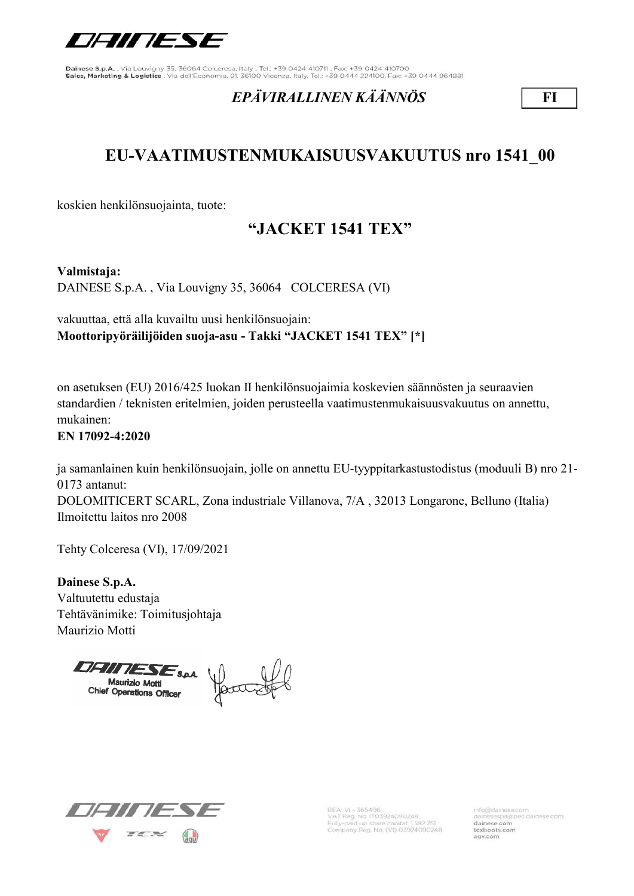

#### EPÄVIRALLINEN KÄÄNNÖS FI

## EU-VAATIMUSTENMUKAISUUSVAKUUTUS nro 1541\_00

koskien henkilönsuojainta, tuote:

### "JACKET 1541 TEX"

Valmistaja:

DAINESE S.p.A. , Via Louvigny 35, 36064 COLCERESA (VI)

vakuuttaa, että alla kuvailtu uusi henkilönsuojain: Moottoripyöräilijöiden suoja-asu - Takki "JACKET 1541 TEX" [\*]

on asetuksen (EU) 2016/425 luokan II henkilönsuojaimia koskevien säännösten ja seuraavien standardien / teknisten eritelmien, joiden perusteella vaatimustenmukaisuusvakuutus on annettu, mukainen:

EN 17092-4:2020

ja samanlainen kuin henkilönsuojain, jolle on annettu EU-tyyppitarkastustodistus (moduuli B) nro 21- 0173 antanut:

DOLOMITICERT SCARL, Zona industriale Villanova, 7/A , 32013 Longarone, Belluno (Italia) Ilmoitettu laitos nro 2008

Tehty Colceresa (VI), 17/09/2021

Dainese S.p.A. Valtuutettu edustaja Tehtävänimike: Toimitusjohtaja Maurizio Motti

Chief Operations Officer



REA: VI - 365406<br>VAT Reg. No. IT03924090248 Fully-paid up share capital: 1582 751<br>Company Reg. No. (VI) 03924090248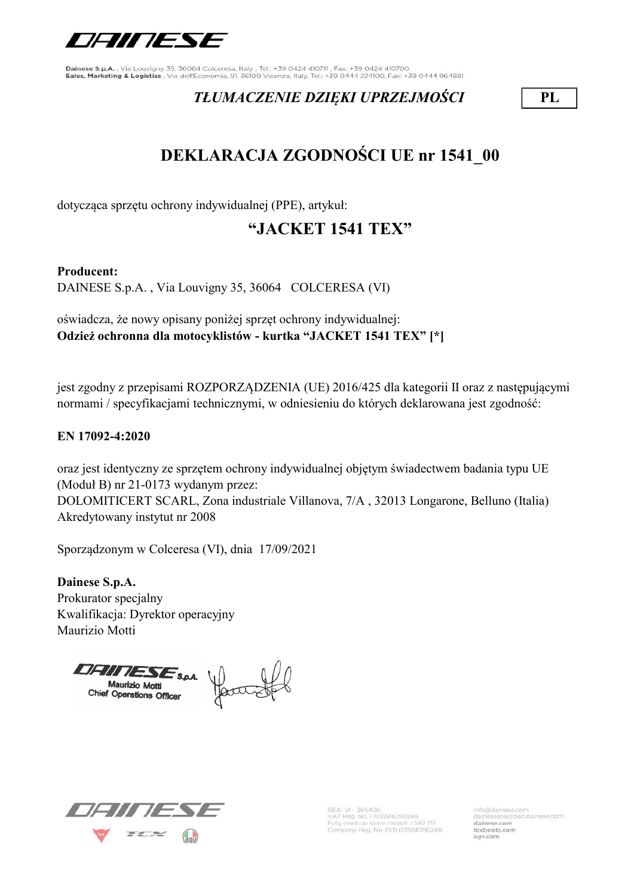

### TŁUMACZENIE DZIĘKI UPRZEJMOŚCI PL

# DEKLARACJA ZGODNOŚCI UE nr 1541\_00

dotycząca sprzętu ochrony indywidualnej (PPE), artykuł:

## "JACKET 1541 TEX"

#### Producent:

DAINESE S.p.A. , Via Louvigny 35, 36064 COLCERESA (VI)

oświadcza, że nowy opisany poniżej sprzęt ochrony indywidualnej: Odzież ochronna dla motocyklistów - kurtka "JACKET 1541 TEX" [\*]

jest zgodny z przepisami ROZPORZĄDZENIA (UE) 2016/425 dla kategorii II oraz z następującymi normami / specyfikacjami technicznymi, w odniesieniu do których deklarowana jest zgodność:

#### EN 17092-4:2020

oraz jest identyczny ze sprzętem ochrony indywidualnej objętym świadectwem badania typu UE (Moduł B) nr 21-0173 wydanym przez: DOLOMITICERT SCARL, Zona industriale Villanova, 7/A , 32013 Longarone, Belluno (Italia) Akredytowany instytut nr 2008

Sporządzonym w Colceresa (VI), dnia 17/09/2021

Dainese S.p.A. Prokurator specjalny Kwalifikacja: Dyrektor operacyjny Maurizio Motti

Chief Operations Officer



REA: VI - 365406<br>VAT Reg. No. IT03924090248 Fully-paid up share capital: 1582.751<br>Company Reg. No. (VI) 03924090248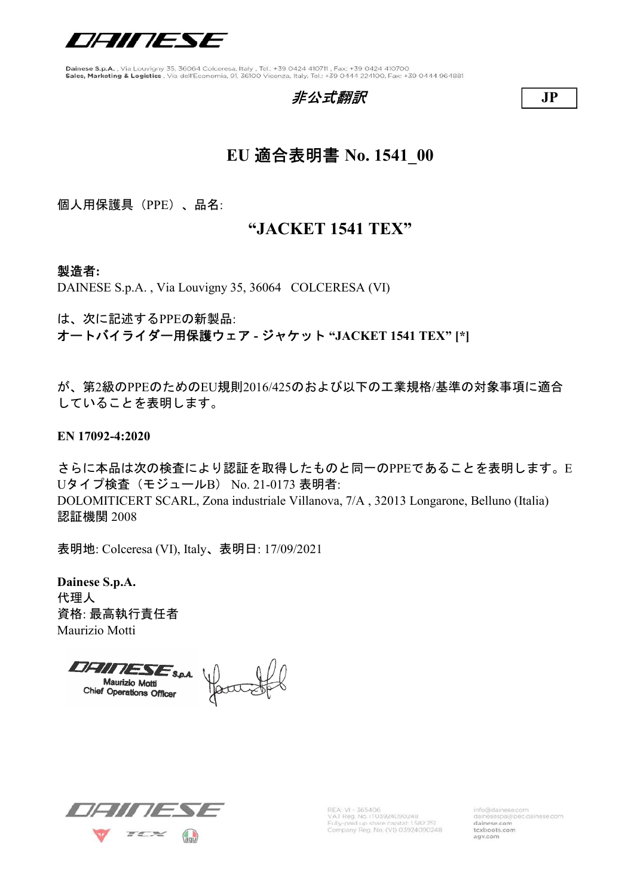

非公*式翻訳* JP

## EU 適合表明書 No. 1541\_00

個人用保護具(PPE)、品名:

#### "JACKET 1541 TEX"

#### 製造者:

DAINESE S.p.A. , Via Louvigny 35, 36064 COLCERESA (VI)

は、次に記述するPPEの新製品:

オートバイライダー用保護ウェア - ジャケット "JACKET 1541 TEX" [\*]

が、第2級のPPEのためのEU規則2016/425のおよび以下の工業規格/基準の対象事項に適合 していることを表明します。

EN 17092-4:2020

さらに本品は次の検査により認証を取得したものと同一のPPEであることを表明します。E Uタイプ検査(モジュールB) No. 21-0173 表明者: DOLOMITICERT SCARL, Zona industriale Villanova, 7/A , 32013 Longarone, Belluno (Italia) 認証機関 2008

表明地: Colceresa (VI), Italy、表明日: 17/09/2021

Dainese S.p.A. 代理人 資格: 最高執行責任者 Maurizio Motti

**DFIITESE**SPA Harrist **Maurizio Motti** Chief Operations Officer



REA: VI - 365406<br>VAT Reg. No. IT03924090248 Fully-paid up share capital: 1582.751<br>Company Reg. No. (VI) 03924090248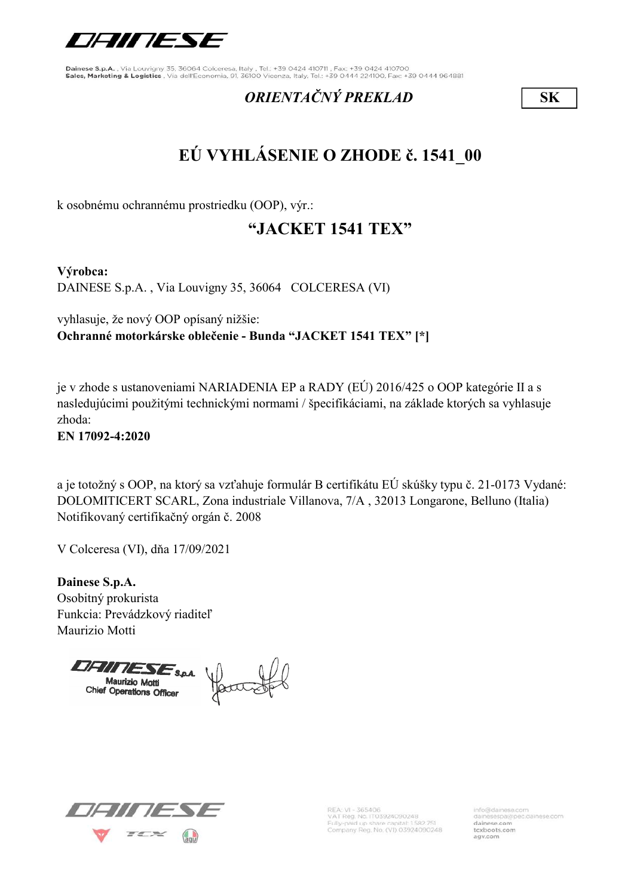

#### ORIENTAČNÝ PREKLAD SK

# EÚ VYHLÁSENIE O ZHODE č. 1541\_00

k osobnému ochrannému prostriedku (OOP), výr.:

### "JACKET 1541 TEX"

Výrobca:

DAINESE S.p.A. , Via Louvigny 35, 36064 COLCERESA (VI)

vyhlasuje, že nový OOP opísaný nižšie: Ochranné motorkárske oblečenie - Bunda "JACKET 1541 TEX" [\*]

je v zhode s ustanoveniami NARIADENIA EP a RADY (EÚ) 2016/425 o OOP kategórie II a s nasledujúcimi použitými technickými normami / špecifikáciami, na základe ktorých sa vyhlasuje zhoda:

EN 17092-4:2020

a je totožný s OOP, na ktorý sa vzťahuje formulár B certifikátu EÚ skúšky typu č. 21-0173 Vydané: DOLOMITICERT SCARL, Zona industriale Villanova, 7/A , 32013 Longarone, Belluno (Italia) Notifikovaný certifikačný orgán č. 2008

V Colceresa (VI), dňa 17/09/2021

Dainese S.p.A. Osobitný prokurista Funkcia: Prevádzkový riaditeľ Maurizio Motti

Chief Operations Officer



REA: VI - 365406<br>VAT Reg. No. IT03924090248 Fully-paid up share capital: 1582.751<br>Company Reg. No. (VI) 03924090248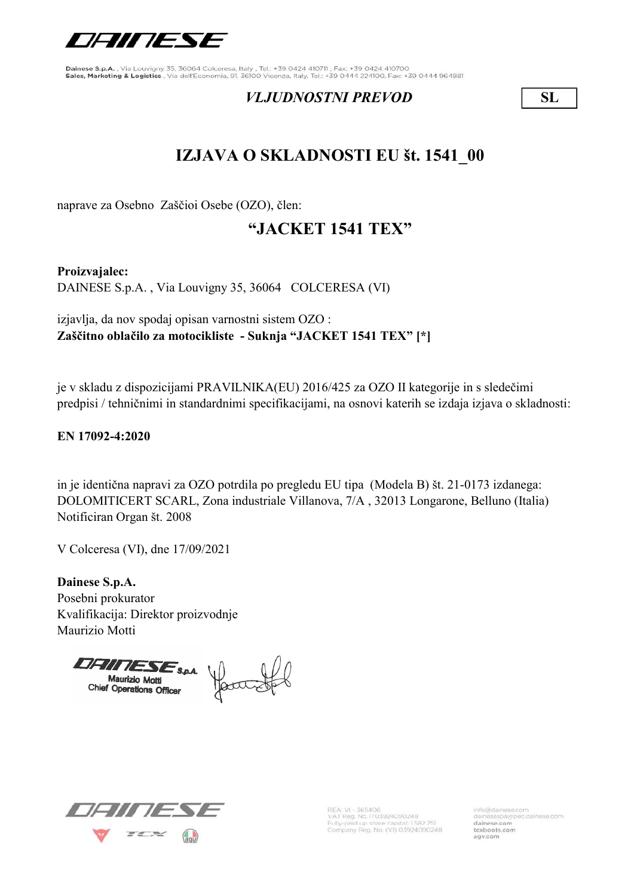

#### VLJUDNOSTNI PREVOD SL

## IZJAVA O SKLADNOSTI EU št. 1541\_00

naprave za Osebno Zaščioi Osebe (OZO), člen:

#### "JACKET 1541 TEX"

Proizvajalec:

DAINESE S.p.A. , Via Louvigny 35, 36064 COLCERESA (VI)

izjavlja, da nov spodaj opisan varnostni sistem OZO : Zaščitno oblačilo za motocikliste - Suknja "JACKET 1541 TEX" [\*]

je v skladu z dispozicijami PRAVILNIKA(EU) 2016/425 za OZO II kategorije in s sledečimi predpisi / tehničnimi in standardnimi specifikacijami, na osnovi katerih se izdaja izjava o skladnosti:

#### EN 17092-4:2020

DOLOMITICERT SCARL, Zona industriale Villanova, 7/A , 32013 Longarone, Belluno (Italia) Notificiran Organ št. 2008 in je identična napravi za OZO potrdila po pregledu EU tipa (Modela B) št. 21-0173 izdanega:

V Colceresa (VI), dne 17/09/2021

Dainese S.p.A. Posebni prokurator Kvalifikacija: Direktor proizvodnje Maurizio Motti

Chief Operations Officer



REA: VI - 365406<br>VAT Reg. No. IT03924090248 Fully-paid up share capital: 1582.751<br>Company Reg. No. (VI) 03924090248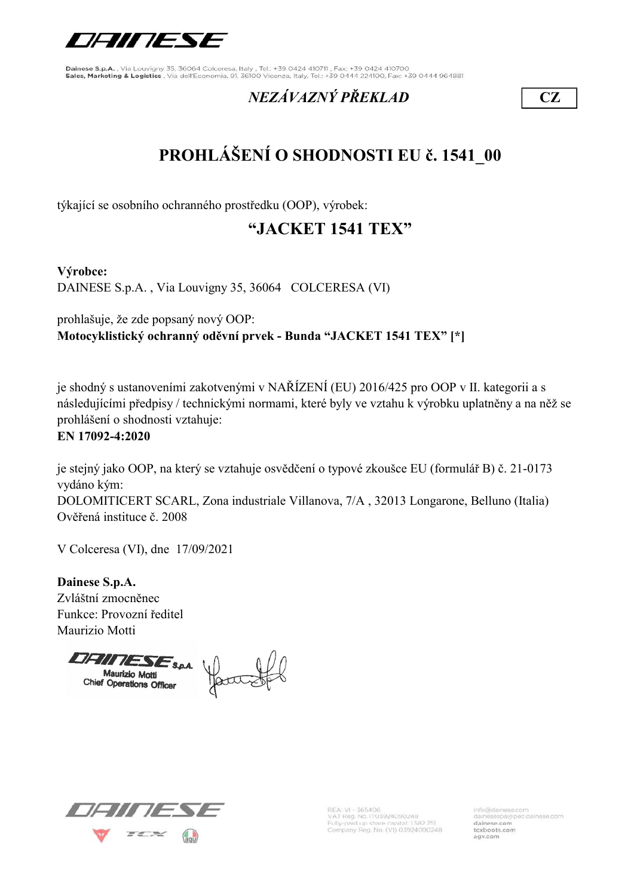

## NEZÁVAZNÝ PŘEKLAD CZ

# PROHLÁŠENÍ O SHODNOSTI EU č. 1541\_00

týkající se osobního ochranného prostředku (OOP), výrobek:

## "JACKET 1541 TEX"

#### Výrobce:

DAINESE S.p.A. , Via Louvigny 35, 36064 COLCERESA (VI)

prohlašuje, že zde popsaný nový OOP: Motocyklistický ochranný oděvní prvek - Bunda "JACKET 1541 TEX" [\*]

je shodný s ustanoveními zakotvenými v NAŘÍZENÍ (EU) 2016/425 pro OOP v II. kategorii a s následujícími předpisy / technickými normami, které byly ve vztahu k výrobku uplatněny a na něž se prohlášení o shodnosti vztahuje:

#### EN 17092-4:2020

je stejný jako OOP, na který se vztahuje osvědčení o typové zkoušce EU (formulář B) č. 21-0173 vydáno kým: DOLOMITICERT SCARL, Zona industriale Villanova, 7/A , 32013 Longarone, Belluno (Italia) Ověřená instituce č. 2008

V Colceresa (VI), dne 17/09/2021

Dainese S.p.A. Zvláštní zmocněnec Funkce: Provozní ředitel Maurizio Motti

**DHITLESE**S.p.A. as yourstel **Maurizio Motti** Chief Operations Officer



REA: VI - 365406<br>VAT Reg. No. IT03924090248 Fully-paid up share capital: 1582.751<br>Company Reg. No. (VI) 03924090248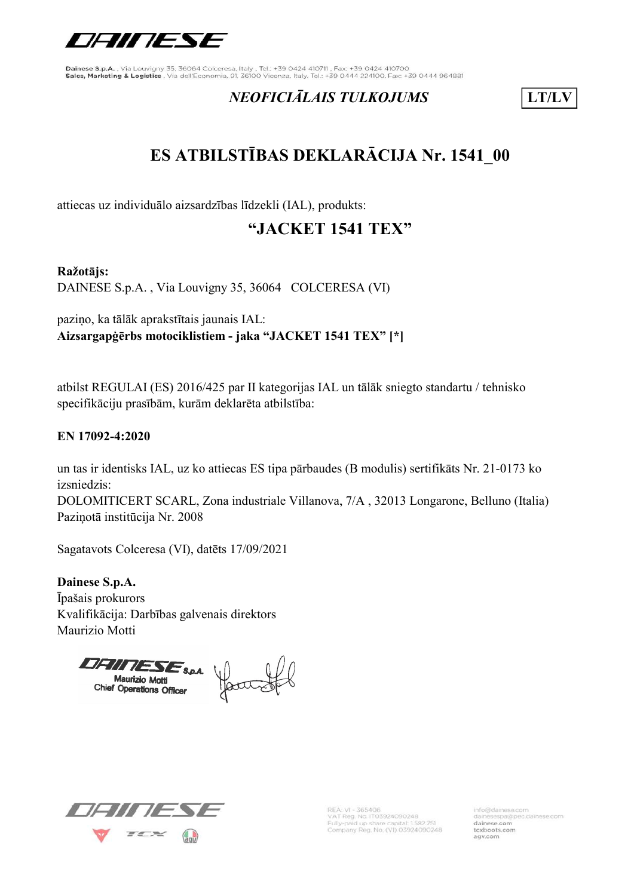

#### NEOFICIĀLAIS TULKOJUMS | LT/LV

# ES ATBILSTĪBAS DEKLARĀCIJA Nr. 1541\_00

attiecas uz individuālo aizsardzības līdzekli (IAL), produkts:

### "JACKET 1541 TEX"

#### Ražotājs:

DAINESE S.p.A. , Via Louvigny 35, 36064 COLCERESA (VI)

paziņo, ka tālāk aprakstītais jaunais IAL: Aizsargapģērbs motociklistiem - jaka "JACKET 1541 TEX" [\*]

atbilst REGULAI (ES) 2016/425 par II kategorijas IAL un tālāk sniegto standartu / tehnisko specifikāciju prasībām, kurām deklarēta atbilstība:

#### EN 17092-4:2020

un tas ir identisks IAL, uz ko attiecas ES tipa pārbaudes (B modulis) sertifikāts Nr. 21-0173 ko izsniedzis:

DOLOMITICERT SCARL, Zona industriale Villanova, 7/A , 32013 Longarone, Belluno (Italia) Paziņotā institūcija Nr. 2008

Sagatavots Colceresa (VI), datēts 17/09/2021

Dainese S.p.A. Īpašais prokurors Kvalifikācija: Darbības galvenais direktors Maurizio Motti

Chief Operations Officer



REA: VI - 365406<br>VAT Reg. No. IT03924090248 Fully-paid up share capital: 1582.751<br>Company Reg. No. (VI) 03924090248